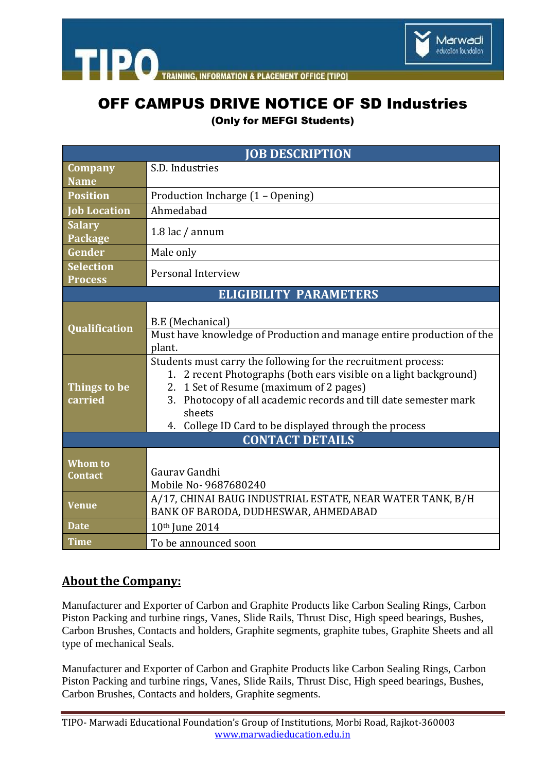

**ACEMENT OFFICE ITIPOL** 

## OFF CAMPUS DRIVE NOTICE OF SD Industries

(Only for MEFGI Students)

| <b>JOB DESCRIPTION</b>             |                                                                                                                                                                                                                                                                                                                           |
|------------------------------------|---------------------------------------------------------------------------------------------------------------------------------------------------------------------------------------------------------------------------------------------------------------------------------------------------------------------------|
| Company                            | S.D. Industries                                                                                                                                                                                                                                                                                                           |
| <b>Name</b>                        |                                                                                                                                                                                                                                                                                                                           |
| <b>Position</b>                    | Production Incharge (1 - Opening)                                                                                                                                                                                                                                                                                         |
| <b>Job Location</b>                | Ahmedabad                                                                                                                                                                                                                                                                                                                 |
| <b>Salary</b><br>Package           | 1.8 lac / annum                                                                                                                                                                                                                                                                                                           |
| Gender                             | Male only                                                                                                                                                                                                                                                                                                                 |
| <b>Selection</b><br><b>Process</b> | Personal Interview                                                                                                                                                                                                                                                                                                        |
| <b>ELIGIBILITY PARAMETERS</b>      |                                                                                                                                                                                                                                                                                                                           |
| <b>Qualification</b>               | B.E (Mechanical)<br>Must have knowledge of Production and manage entire production of the<br>plant.                                                                                                                                                                                                                       |
| Things to be<br>carried            | Students must carry the following for the recruitment process:<br>1. 2 recent Photographs (both ears visible on a light background)<br>2. 1 Set of Resume (maximum of 2 pages)<br>3. Photocopy of all academic records and till date semester mark<br>sheets<br>College ID Card to be displayed through the process<br>4. |
| <b>CONTACT DETAILS</b>             |                                                                                                                                                                                                                                                                                                                           |
| <b>Whom to</b><br><b>Contact</b>   | Gauray Gandhi<br>Mobile No-9687680240                                                                                                                                                                                                                                                                                     |
| <b>Venue</b>                       | A/17, CHINAI BAUG INDUSTRIAL ESTATE, NEAR WATER TANK, B/H<br>BANK OF BARODA, DUDHESWAR, AHMEDABAD                                                                                                                                                                                                                         |
| <b>Date</b>                        | 10th June 2014                                                                                                                                                                                                                                                                                                            |
| <b>Time</b>                        | To be announced soon                                                                                                                                                                                                                                                                                                      |

## **About the Company:**

**TIPO** 

Manufacturer and Exporter of Carbon and Graphite Products like Carbon Sealing Rings, Carbon Piston Packing and turbine rings, Vanes, Slide Rails, Thrust Disc, High speed bearings, Bushes, Carbon Brushes, Contacts and holders, Graphite segments, graphite tubes, Graphite Sheets and all type of mechanical Seals.

Manufacturer and Exporter of Carbon and Graphite Products like Carbon Sealing Rings, Carbon Piston Packing and turbine rings, Vanes, Slide Rails, Thrust Disc, High speed bearings, Bushes, Carbon Brushes, Contacts and holders, Graphite segments.